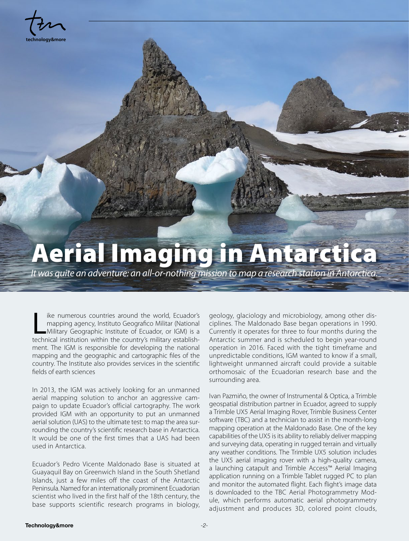**technology&more**

## Aerial Imaging in Antarctica

*It was quite an adventure: an all-or-nothing mission to map a research station in Antarctica.*

like numerous countries around the world, Ecuador's<br>
mapping agency, Instituto Geografico Militar (National<br>
Military Geographic Institute of Ecuador, or IGM) is a<br>
technical institution within the country's military estab ike numerous countries around the world, Ecuador's mapping agency, Instituto Geografico Militar (National Military Geographic Institute of Ecuador, or IGM) is a ment. The IGM is responsible for developing the national mapping and the geographic and cartographic files of the country. The Institute also provides services in the scientific fields of earth sciences

In 2013, the IGM was actively looking for an unmanned aerial mapping solution to anchor an aggressive campaign to update Ecuador's official cartography. The work provided IGM with an opportunity to put an unmanned aerial solution (UAS) to the ultimate test: to map the area surrounding the country's scientific research base in Antarctica. It would be one of the first times that a UAS had been used in Antarctica.

Ecuador's Pedro Vicente Maldonado Base is situated at Guayaquil Bay on Greenwich Island in the South Shetland Islands, just a few miles off the coast of the Antarctic Peninsula. Named for an internationally prominent Ecuadorian scientist who lived in the first half of the 18th century, the base supports scientific research programs in biology,

geology, glaciology and microbiology, among other disciplines. The Maldonado Base began operations in 1990. Currently it operates for three to four months during the Antarctic summer and is scheduled to begin year-round operation in 2016. Faced with the tight timeframe and unpredictable conditions, IGM wanted to know if a small, lightweight unmanned aircraft could provide a suitable orthomosaic of the Ecuadorian research base and the surrounding area.

Ivan Pazmiño, the owner of Instrumental & Optica, a Trimble geospatial distribution partner in Ecuador, agreed to supply a Trimble UX5 Aerial Imaging Rover, Trimble Business Center software (TBC) and a technician to assist in the month-long mapping operation at the Maldonado Base. One of the key capabilities of the UX5 is its ability to reliably deliver mapping and surveying data, operating in rugged terrain and virtually any weather conditions. The Trimble UX5 solution includes the UX5 aerial imaging rover with a high-quality camera, a launching catapult and Trimble Access™ Aerial Imaging application running on a Trimble Tablet rugged PC to plan and monitor the automated flight. Each flight's image data is downloaded to the TBC Aerial Photogrammetry Module, which performs automatic aerial photogrammetry adjustment and produces 3D, colored point clouds,